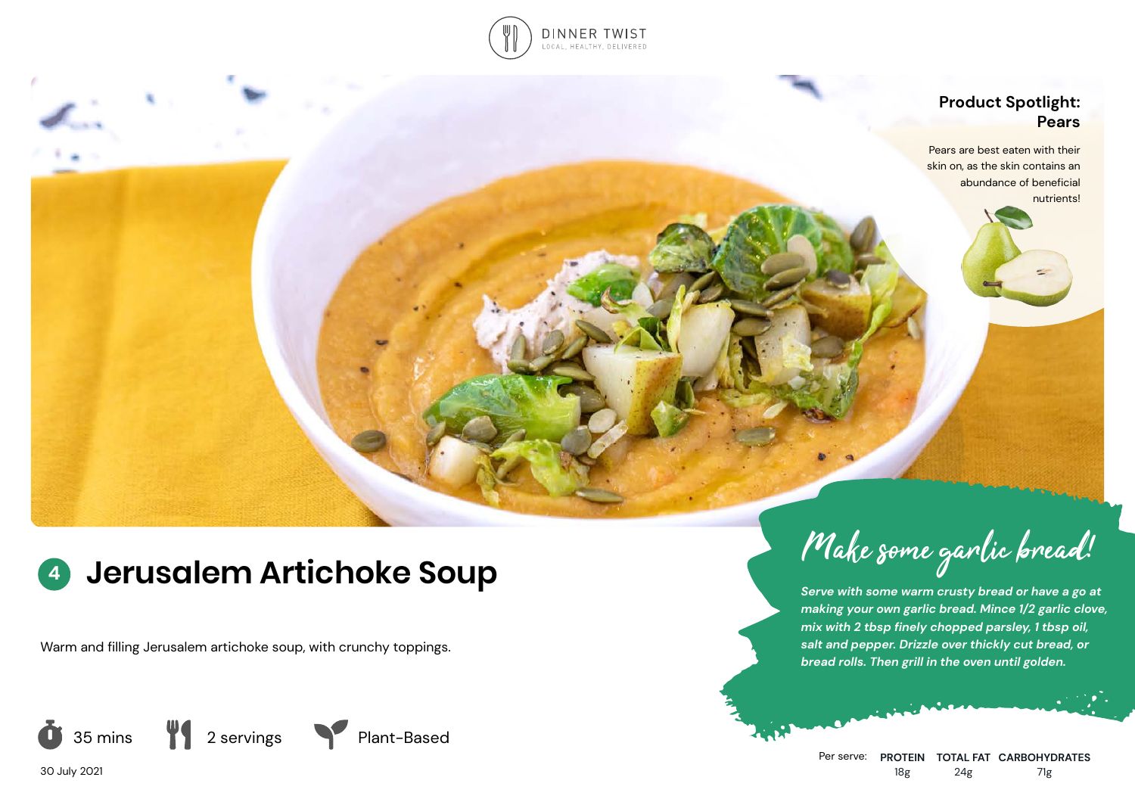

## **Product Spotlight: Pears**

Pears are best eaten with their skin on, as the skin contains an abundance of beneficial nutrients!

# **<sup>4</sup> Jerusalem Artichoke Soup**

Warm and filling Jerusalem artichoke soup, with crunchy toppings.



Make some garlic bread!

*Serve with some warm crusty bread or have a go at making your own garlic bread. Mince 1/2 garlic clove, mix with 2 tbsp finely chopped parsley, 1 tbsp oil, salt and pepper. Drizzle over thickly cut bread, or bread rolls. Then grill in the oven until golden.*